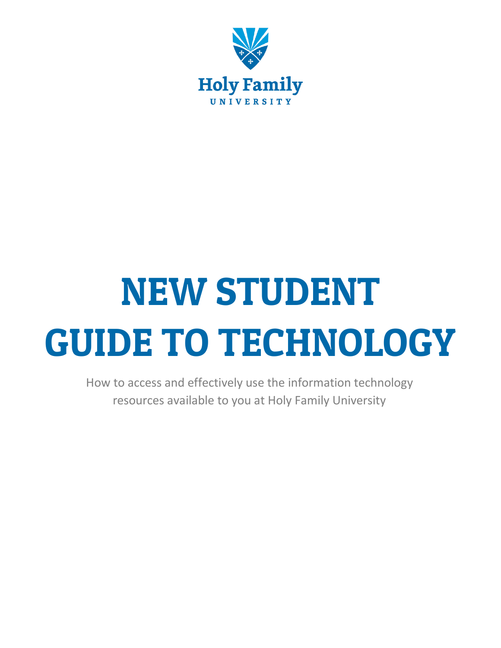

# NEW STUDENT GUIDE TO TECHNOLOGY

How to access and effectively use the information technology resources available to you at Holy Family University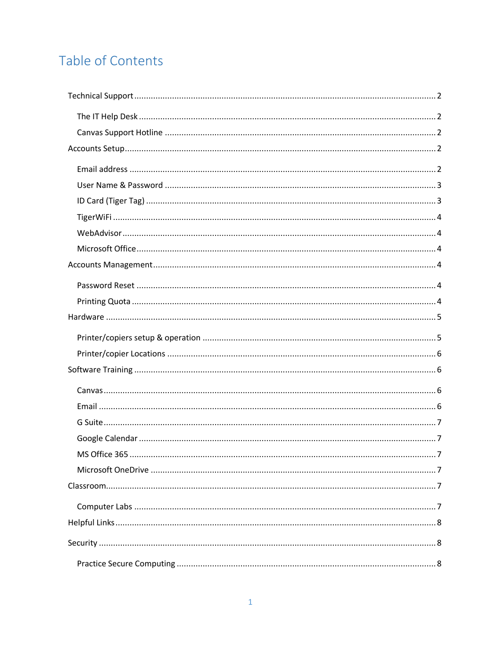# Table of Contents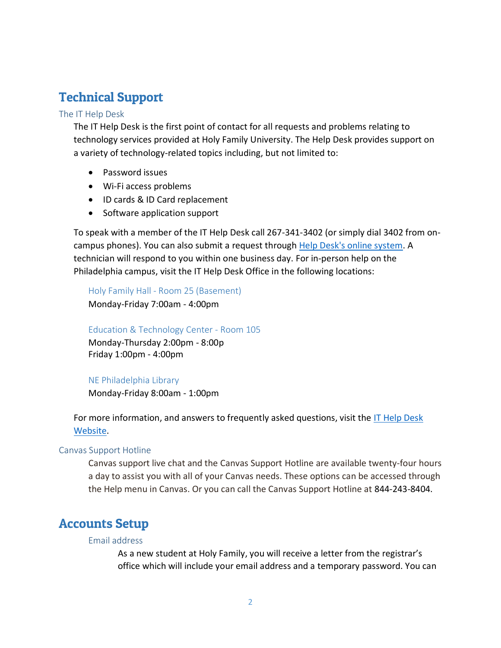# <span id="page-2-0"></span>Technical Support

## <span id="page-2-1"></span>The IT Help Desk

The IT Help Desk is the first point of contact for all requests and problems relating to technology services provided at Holy Family University. The Help Desk provides support on a variety of technology-related topics including, but not limited to:

- Password issues
- Wi-Fi access problems
- ID cards & ID Card replacement
- Software application support

To speak with a member of the IT Help Desk call 267-341-3402 (or simply dial 3402 from oncampus phones). You can also submit a request through [Help Desk's online system.](https://holyfamilyuniversity.sdpondemand.manageengine.com/home) A technician will respond to you within one business day. For in-person help on the Philadelphia campus, visit the IT Help Desk Office in the following locations:

Holy Family Hall - Room 25 (Basement)

Monday-Friday 7:00am - 4:00pm

## Education & Technology Center - Room 105

Monday-Thursday 2:00pm - 8:00p Friday 1:00pm - 4:00pm

## NE Philadelphia Library

Monday-Friday 8:00am - 1:00pm

For more information, and answers to frequently asked questions, visit the [IT Help Desk](https://www.holyfamily.edu/current-students/student-resources/help-desk)  [Website.](https://www.holyfamily.edu/current-students/student-resources/help-desk)

## <span id="page-2-2"></span>Canvas Support Hotline

Canvas support live chat and the Canvas Support Hotline are available twenty-four hours a day to assist you with all of your Canvas needs. These options can be accessed through the Help menu in Canvas. Or you can call the Canvas Support Hotline at 844-243-8404.

# <span id="page-2-4"></span><span id="page-2-3"></span>Accounts Setup

## Email address

As a new student at Holy Family, you will receive a letter from the registrar's office which will include your email address and a temporary password. You can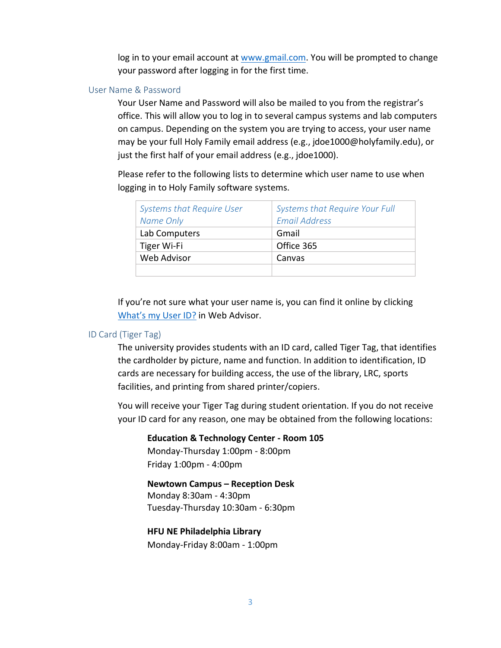log in to your email account at [www.gmail.com.](http://www.gmail.com/) You will be prompted to change your password after logging in for the first time.

## <span id="page-3-0"></span>User Name & Password

Your User Name and Password will also be mailed to you from the registrar's office. This will allow you to log in to several campus systems and lab computers on campus. Depending on the system you are trying to access, your user name may be your full Holy Family email address (e.g., jdoe1000@holyfamily.edu), or just the first half of your email address (e.g., jdoe1000).

Please refer to the following lists to determine which user name to use when logging in to Holy Family software systems.

| <b>Systems that Require User</b> | Systems that Require Your Full |
|----------------------------------|--------------------------------|
| Name Only                        | <b>Email Address</b>           |
| Lab Computers                    | Gmail                          |
| Tiger Wi-Fi                      | Office 365                     |
| Web Advisor                      | Canvas                         |
|                                  |                                |

If you're not sure what your user name is, you can find it online by clicking [What's my User ID?](https://advisor2.holyfamily.edu/WebAdvisor/WebAdvisor?TYPE=M&PID=CORE-WBACCT&CONSTITUENCY=WBDF&TOKENIDX=5396673533) in Web Advisor.

## <span id="page-3-1"></span>ID Card (Tiger Tag)

The university provides students with an ID card, called Tiger Tag, that identifies the cardholder by picture, name and function. In addition to identification, ID cards are necessary for building access, the use of the library, LRC, sports facilities, and printing from shared printer/copiers.

You will receive your Tiger Tag during student orientation. If you do not receive your ID card for any reason, one may be obtained from the following locations:

**Education & Technology Center - Room 105** Monday-Thursday 1:00pm - 8:00pm Friday 1:00pm - 4:00pm

**Newtown Campus – Reception Desk** Monday 8:30am - 4:30pm Tuesday-Thursday 10:30am - 6:30pm

**HFU NE Philadelphia Library** Monday-Friday 8:00am - 1:00pm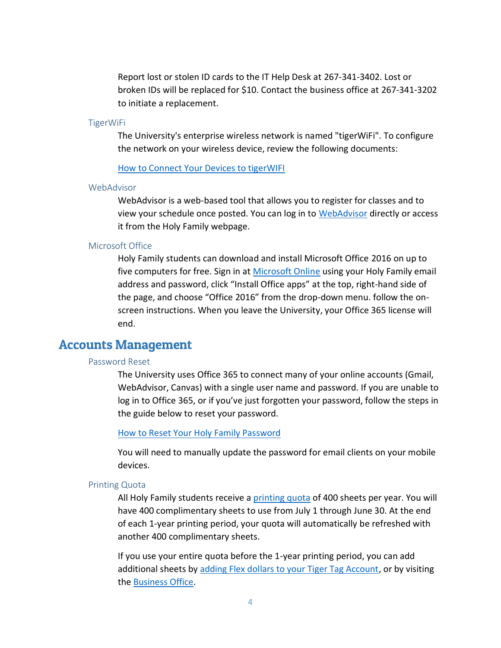Report lost or stolen ID cards to the IT Help Desk at 267-341-3402. Lost or broken IDs will be replaced for \$10. Contact the business office at 267-341-3202 to initiate a replacement.

#### <span id="page-4-0"></span>TigerWiFi

The University's enterprise wireless network is named "tigerWiFi". To configure the network on your wireless device, review the following documents:

## [How to Connect Your Devices to tigerWIFI](http://kb.holyfamily.edu/hfu/how-to-connect-your-devices-to-tigerwifi/)

#### <span id="page-4-1"></span>WebAdvisor

WebAdvisor is a web-based tool that allows you to register for classes and to view your schedule once posted. You can log in to [WebAdvisor](https://www.holyfamily.edu/web-advisor-login) directly or access it from the Holy Family webpage.

## <span id="page-4-2"></span>Microsoft Office

Holy Family students can download and install Microsoft Office 2016 on up to five computers for free. Sign in at [Microsoft Online](https://login.microsoftonline.com/) using your Holy Family email address and password, click "Install Office apps" at the top, right-hand side of the page, and choose "Office 2016" from the drop-down menu. follow the onscreen instructions. When you leave the University, your Office 365 license will end.

## <span id="page-4-4"></span><span id="page-4-3"></span>Accounts Management

## Password Reset

The University uses Office 365 to connect many of your online accounts (Gmail, WebAdvisor, Canvas) with a single user name and password. If you are unable to log in to Office 365, or if you've just forgotten your password, follow the steps in the guide below to reset your password.

#### [How to Reset Your Holy Family Password](https://www.holyfamily.edu/images/pdfs/Help_Desk/resetting-your-password.pdf)

You will need to manually update the password for email clients on your mobile devices.

### <span id="page-4-5"></span>Printing Quota

All Holy Family students receive a [printing quota](http://kb.holyfamily.edu/hfu/printing/) of 400 sheets per year. You will have 400 complimentary sheets to use from July 1 through June 30. At the end of each 1-year printing period, your quota will automatically be refreshed with another 400 complimentary sheets.

If you use your entire quota before the 1-year printing period, you can add additional sheets by [adding Flex dollars to your Tiger Tag Account,](http://kb.holyfamily.edu/hfu/how-to-add-money-to-tiger-tag-id-card-account/) or by visiting the [Business Office.](https://www.holyfamily.edu/about-holy-family-u/our-campuses-in-philadelphia/business-office)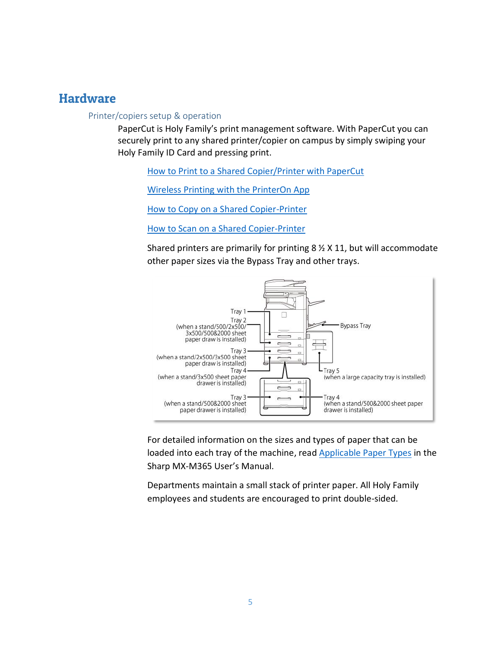## <span id="page-5-1"></span><span id="page-5-0"></span>**Hardware**

## Printer/copiers setup & operation

PaperCut is Holy Family's print management software. With PaperCut you can securely print to any shared printer/copier on campus by simply swiping your Holy Family ID Card and pressing print.

[How to Print to a Shared Copier/Printer with PaperCut](https://drive.google.com/open?id=0B82Q0_ht-yzYcV9NU0gwb1pWN3M)

[Wireless Printing with the PrinterOn App](https://hfu-my.sharepoint.com/personal/hfu_it_dept_notifications_holyfamily_edu/_layouts/15/guestaccess.aspx?docid=01034779b85b84bb5aff404384227ff5e&authkey=AcBlKqVnoHeuu2PpXS_jCA4)

[How to Copy on a Shared Copier-Printer](https://drive.google.com/open?id=0B82Q0_ht-yzYWElzV3hrcjE3cWs)

[How to Scan on a Shared Copier-Printer](https://drive.google.com/open?id=0B82Q0_ht-yzYSnhiLVdZVkN2b2M)

Shared printers are primarily for printing 8 ½ X 11, but will accommodate other paper sizes via the Bypass Tray and other trays.



For detailed information on the sizes and types of paper that can be loaded into each tray of the machine, read [Applicable Paper Types](http://siica.sharpusa.com/portals/0/downloads/Manuals/MX-M365N-M465N-M565N/contents/01-026.htm) in the Sharp MX-M365 User's Manual.

Departments maintain a small stack of printer paper. All Holy Family employees and students are encouraged to print double-sided.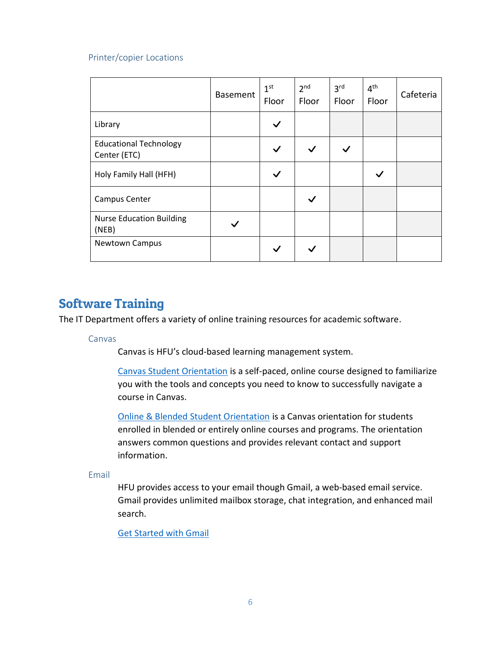## <span id="page-6-0"></span>Printer/copier Locations

|                                               | <b>Basement</b> | 1 <sup>st</sup><br>Floor | 2 <sup>nd</sup><br>Floor | 3 <sup>rd</sup><br>Floor | 4 <sup>th</sup><br>Floor | Cafeteria |
|-----------------------------------------------|-----------------|--------------------------|--------------------------|--------------------------|--------------------------|-----------|
| Library                                       |                 |                          |                          |                          |                          |           |
| <b>Educational Technology</b><br>Center (ETC) |                 |                          | $\checkmark$             | $\checkmark$             |                          |           |
| Holy Family Hall (HFH)                        |                 |                          |                          |                          |                          |           |
| <b>Campus Center</b>                          |                 |                          |                          |                          |                          |           |
| <b>Nurse Education Building</b><br>(NEB)      |                 |                          |                          |                          |                          |           |
| <b>Newtown Campus</b>                         |                 |                          |                          |                          |                          |           |

## <span id="page-6-1"></span>Software Training

<span id="page-6-2"></span>The IT Department offers a variety of online training resources for academic software.

## Canvas

Canvas is HFU's cloud-based learning management system.

[Canvas Student Orientation](https://holyfamily.instructure.com/courses/1371) is a self-paced, online course designed to familiarize you with the tools and concepts you need to know to successfully navigate a course in Canvas.

[Online & Blended Student Orientation](https://holyfamily.instructure.com/courses/4626) is a Canvas orientation for students enrolled in blended or entirely online courses and programs. The orientation answers common questions and provides relevant contact and support information.

## <span id="page-6-3"></span>Email

HFU provides access to your email though Gmail, a web-based email service. Gmail provides unlimited mailbox storage, chat integration, and enhanced mail search.

[Get Started with Gmail](https://gsuite.google.com/learning-center/products/gmail/get-started/)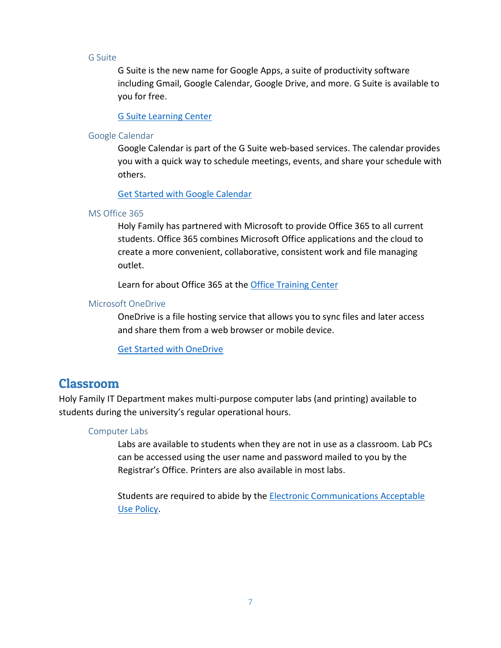## <span id="page-7-0"></span>G Suite

G Suite is the new name for Google Apps, a suite of productivity software including Gmail, Google Calendar, Google Drive, and more. G Suite is available to you for free.

## [G Suite Learning Center](https://gsuite.google.com/learning-center/)

## <span id="page-7-1"></span>Google Calendar

Google Calendar is part of the G Suite web-based services. The calendar provides you with a quick way to schedule meetings, events, and share your schedule with others.

## [Get Started with Google Calendar](https://gsuite.google.com/learning-center/products/calendar/get-started/)

## <span id="page-7-2"></span>MS Office 365

Holy Family has partnered with Microsoft to provide Office 365 to all current students. Office 365 combines Microsoft Office applications and the cloud to create a more convenient, collaborative, consistent work and file managing outlet.

Learn for about Office 365 at the [Office Training Center](https://support.office.com/en-us/article/Office-Training-Center-b8f02f81-ec85-4493-a39b-4c48e6bc4bfb)

## <span id="page-7-3"></span>Microsoft OneDrive

OneDrive is a file hosting service that allows you to sync files and later access and share them from a web browser or mobile device.

## [Get Started with OneDrive](https://support.office.com/en-us/article/OneDrive-basics-fe8aab1e-3d1a-4a65-a9b6-77b79b6dbb30?ui=en-US&rs=en-US&ad=US)

## <span id="page-7-4"></span>Classroom

<span id="page-7-5"></span>Holy Family IT Department makes multi-purpose computer labs (and printing) available to students during the university's regular operational hours.

## Computer Labs

Labs are available to students when they are not in use as a classroom. Lab PCs can be accessed using the user name and password mailed to you by the Registrar's Office. Printers are also available in most labs.

Students are required to abide by the [Electronic Communications Acceptable](https://www.holyfamily.edu/about-holy-family-u/general-info/consumer-info/electronic-communications-acceptable-use-policy)  [Use Policy.](https://www.holyfamily.edu/about-holy-family-u/general-info/consumer-info/electronic-communications-acceptable-use-policy)